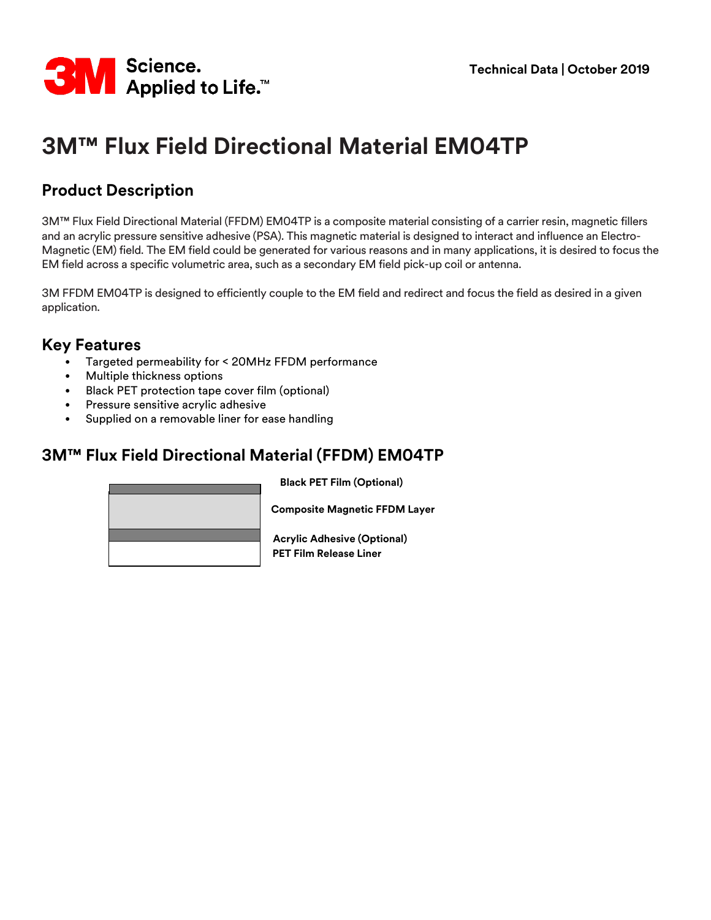

# **3M™ Flux Field Directional Material EM04TP**

## **Product Description**

3M™ Flux Field Directional Material (FFDM) EM04TP is a composite material consisting of a carrier resin, magnetic fillers and an acrylic pressure sensitive adhesive (PSA). This magnetic material is designed to interact and influence an Electro-Magnetic (EM) field. The EM field could be generated for various reasons and in many applications, it is desired to focus the EM field across a specific volumetric area, such as a secondary EM field pick-up coil or antenna.

3M FFDM EM04TP is designed to efficiently couple to the EM field and redirect and focus the field as desired in a given application.

#### **Key Features**

- Targeted permeability for < 20MHz FFDM performance
- Multiple thickness options
- Black PET protection tape cover film (optional)
- Pressure sensitive acrylic adhesive
- Supplied on a removable liner for ease handling

#### **3M™ Flux Field Directional Material (FFDM) EM04TP**

**Black PET Film (Optional)**



**Composite Magnetic FFDM Layer**

**PET Film Release Liner Acrylic Adhesive (Optional)**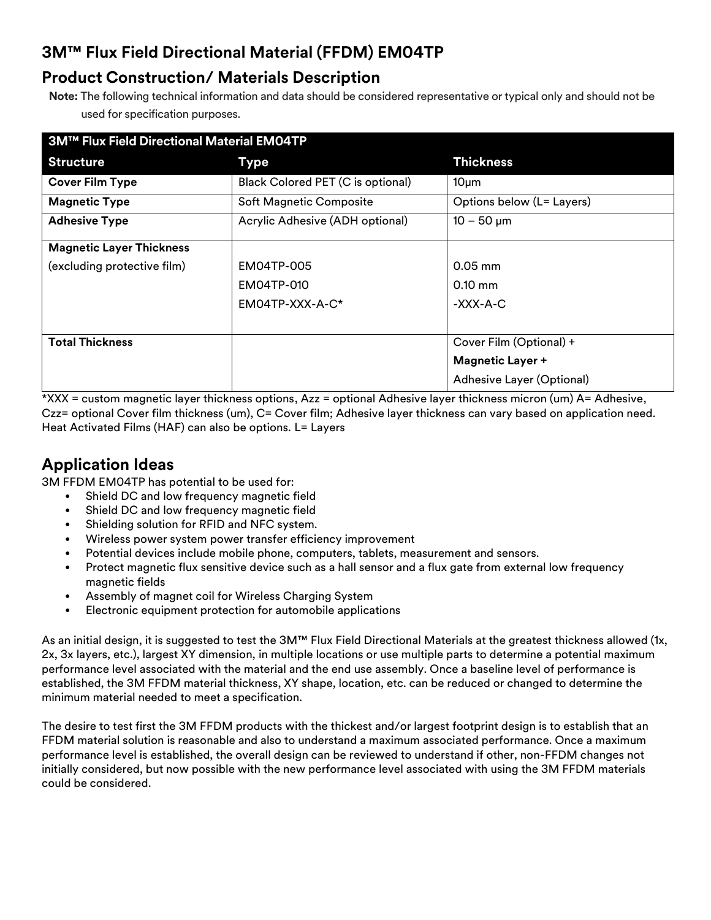# **3M™ Flux Field Directional Material (FFDM) EM04TP**

#### **Product Construction/ Materials Description**

**Note:** The following technical information and data should be considered representative or typical only and should not be used for specification purposes.

| <b>3M™ Flux Field Directional Material EM04TP</b> |                                   |                           |
|---------------------------------------------------|-----------------------------------|---------------------------|
| <b>Structure</b>                                  | <b>Type</b>                       | <b>Thickness</b>          |
| <b>Cover Film Type</b>                            | Black Colored PET (C is optional) | 10 <sub>µ</sub> m         |
| <b>Magnetic Type</b>                              | Soft Magnetic Composite           | Options below (L= Layers) |
| <b>Adhesive Type</b>                              | Acrylic Adhesive (ADH optional)   | $10 - 50 \mu m$           |
| <b>Magnetic Layer Thickness</b>                   |                                   |                           |
| (excluding protective film)                       | EM04TP-005                        | $0.05$ mm                 |
|                                                   | EM04TP-010                        | $0.10$ mm                 |
|                                                   | $EMO4TP-XXX-A-C*$                 | -XXX-A-C                  |
|                                                   |                                   |                           |
| <b>Total Thickness</b>                            |                                   | Cover Film (Optional) +   |
|                                                   |                                   | <b>Magnetic Layer +</b>   |
|                                                   |                                   | Adhesive Layer (Optional) |

\*XXX = custom magnetic layer thickness options, Azz = optional Adhesive layer thickness micron (um) A= Adhesive, Czz= optional Cover film thickness (um), C= Cover film; Adhesive layer thickness can vary based on application need. Heat Activated Films (HAF) can also be options. L= Layers

## **Application Ideas**

3M FFDM EM04TP has potential to be used for:

- Shield DC and low frequency magnetic field
- Shield DC and low frequency magnetic field
- Shielding solution for RFID and NFC system.
- Wireless power system power transfer efficiency improvement
- Potential devices include mobile phone, computers, tablets, measurement and sensors.
- Protect magnetic flux sensitive device such as a hall sensor and a flux gate from external low frequency magnetic fields
- Assembly of magnet coil for Wireless Charging System
- Electronic equipment protection for automobile applications

As an initial design, it is suggested to test the 3M™ Flux Field Directional Materials at the greatest thickness allowed (1x, 2x, 3x layers, etc.), largest XY dimension, in multiple locations or use multiple parts to determine a potential maximum performance level associated with the material and the end use assembly. Once a baseline level of performance is established, the 3M FFDM material thickness, XY shape, location, etc. can be reduced or changed to determine the minimum material needed to meet a specification.

The desire to test first the 3M FFDM products with the thickest and/or largest footprint design is to establish that an FFDM material solution is reasonable and also to understand a maximum associated performance. Once a maximum performance level is established, the overall design can be reviewed to understand if other, non-FFDM changes not initially considered, but now possible with the new performance level associated with using the 3M FFDM materials could be considered.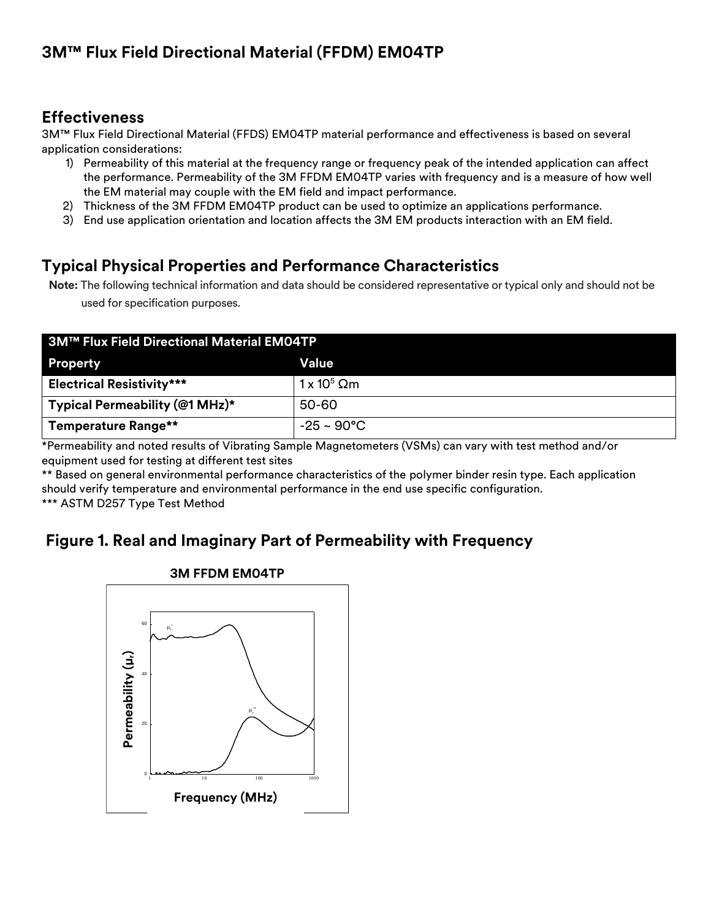## **Effectiveness**

3M™ Flux Field Directional Material (FFDS) EM04TP material performance and effectiveness is based on several application considerations:

- 1) Permeability of this material at the frequency range or frequency peak of the intended application can affect the performance. Permeability of the 3M FFDM EM04TP varies with frequency and is a measure of how well the EM material may couple with the EM field and impact performance.
- 2) Thickness of the 3M FFDM EM04TP product can be used to optimize an applications performance.
- 3) End use application orientation and location affects the 3M EM products interaction with an EM field.

## **Typical Physical Properties and Performance Characteristics**

**Note:** The following technical information and data should be considered representative or typical only and should not be used for specification purposes.

| <b>3M™ Flux Field Directional Material EM04TP</b> |                         |  |
|---------------------------------------------------|-------------------------|--|
| <b>Property</b>                                   | Value                   |  |
| <b>Electrical Resistivity***</b>                  | $1 \times 10^5$ Qm      |  |
| Typical Permeability (@1 MHz)*                    | 50-60                   |  |
| <b>Temperature Range**</b>                        | $-25 \sim 90^{\circ}$ C |  |

\*Permeability and noted results of Vibrating Sample Magnetometers (VSMs) can vary with test method and/or equipment used for testing at different test sites

\*\* Based on general environmental performance characteristics of the polymer binder resin type. Each application should verify temperature and environmental performance in the end use specific configuration. \*\*\* ASTM D257 Type Test Method

## **Figure 1. Real and Imaginary Part of Permeability with Frequency**



#### **3M FFDM EM04TP**